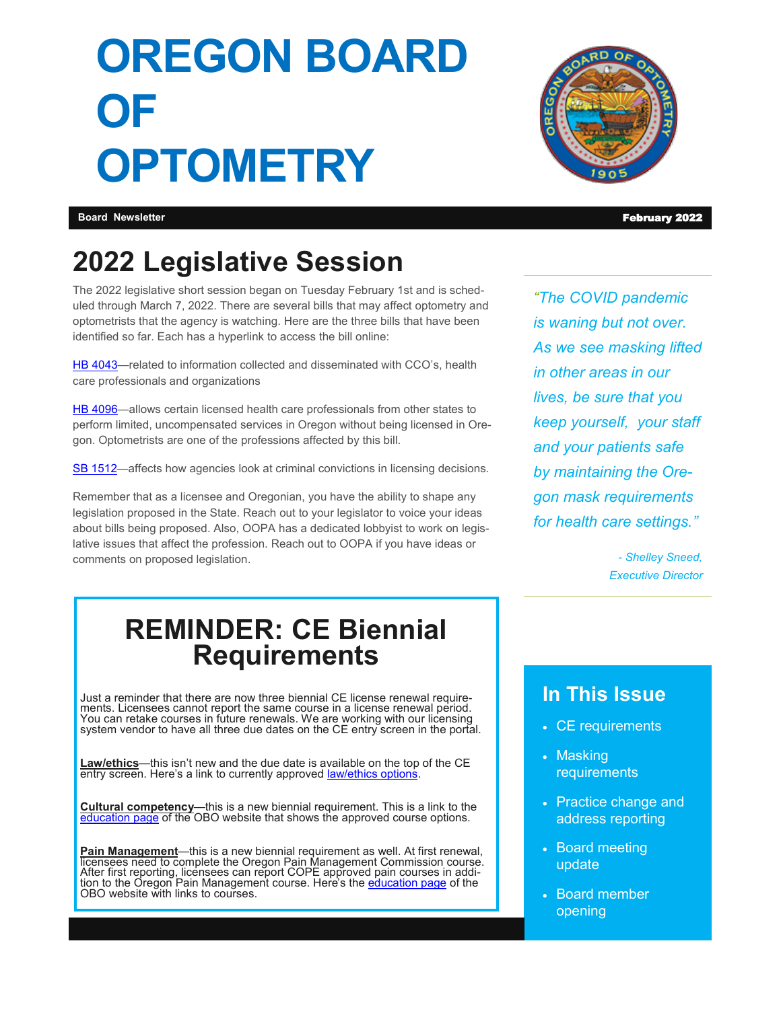# **OREGON BOARD OF OPTOMETRY**



**Board Newsletter** February 2022

# **2022 Legislative Session**

The 2022 legislative short session began on Tuesday February 1st and is scheduled through March 7, 2022. There are several bills that may affect optometry and optometrists that the agency is watching. Here are the three bills that have been identified so far. Each has a hyperlink to access the bill online:

HB 4043-related to information collected and disseminated with CCO's, health care professionals and organizations

[HB 4096—](https://olis.oregonlegislature.gov/liz/2022R1/Measures/Overview/HB4096)allows certain licensed health care professionals from other states to perform limited, uncompensated services in Oregon without being licensed in Oregon. Optometrists are one of the professions affected by this bill.

SB 1512-affects how agencies look at criminal convictions in licensing decisions.

Remember that as a licensee and Oregonian, you have the ability to shape any legislation proposed in the State. Reach out to your legislator to voice your ideas about bills being proposed. Also, OOPA has a dedicated lobbyist to work on legislative issues that affect the profession. Reach out to OOPA if you have ideas or comments on proposed legislation.

*"The COVID pandemic is waning but not over. As we see masking lifted in other areas in our lives, be sure that you keep yourself, your staff and your patients safe by maintaining the Oregon mask requirements for health care settings."*

> *- Shelley Sneed, Executive Director*

# **REMINDER: CE Biennial Requirements**

Just a reminder that there are now three biennial CE license renewal requirements. Licensees cannot report the same course in a license renewal period. You can retake courses in future renewals. We are working with our licensing system vendor to have all three due dates on the CE entry screen in the portal.

**Law/ethics**—this isn't new and the due date is available on the top of the CE entry screen. Here's a link to currently approved **law/ethics options**.

**Cultural competency**—this is a new biennial requirement. This is a link to the [education page](https://www.oregon.gov/obo/CE/Pages/education.aspx) of the OBO website that shows the approved course options.

**Pain Management**—this is a new biennial requirement as well. At first renewal, licensees need to complete the Oregon Pain Management Commission course. After first reporting, licensees can report COPE approved pain courses in addition to the Oregon Pain Management course. Here's the <u>[education page](https://www.oregon.gov/obo/CE/Pages/education.aspx)</u> of the OBO website with links to courses.

#### **In This Issue**

- CE requirements
- Masking requirements
- Practice change and address reporting
- Board meeting update
- Board member opening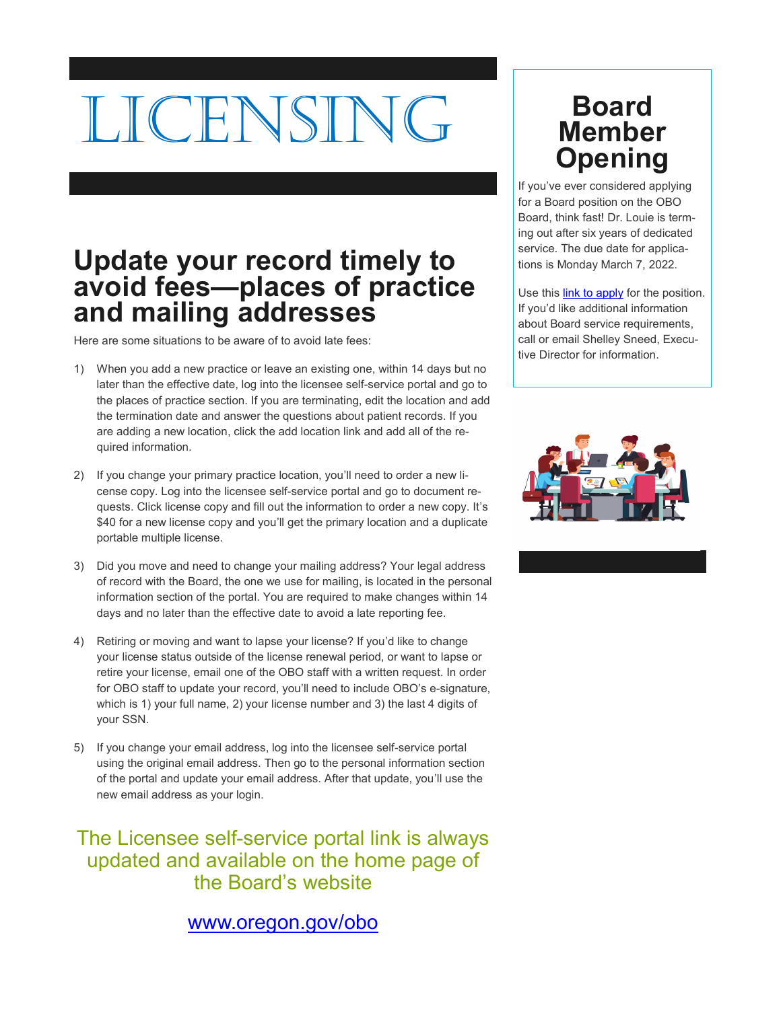# LICENSIN

## **Update your record timely to avoid fees—places of practice and mailing addresses**

Here are some situations to be aware of to avoid late fees:

- 1) When you add a new practice or leave an existing one, within 14 days but no later than the effective date, log into the licensee self-service portal and go to the places of practice section. If you are terminating, edit the location and add the termination date and answer the questions about patient records. If you are adding a new location, click the add location link and add all of the required information.
- 2) If you change your primary practice location, you'll need to order a new license copy. Log into the licensee self-service portal and go to document requests. Click license copy and fill out the information to order a new copy. It's \$40 for a new license copy and you'll get the primary location and a duplicate portable multiple license.
- 3) Did you move and need to change your mailing address? Your legal address of record with the Board, the one we use for mailing, is located in the personal information section of the portal. You are required to make changes within 14 days and no later than the effective date to avoid a late reporting fee.
- 4) Retiring or moving and want to lapse your license? If you'd like to change your license status outside of the license renewal period, or want to lapse or retire your license, email one of the OBO staff with a written request. In order for OBO staff to update your record, you'll need to include OBO's e-signature, which is 1) your full name, 2) your license number and 3) the last 4 digits of your SSN.
- 5) If you change your email address, log into the licensee self-service portal using the original email address. Then go to the personal information section of the portal and update your email address. After that update, you'll use the new email address as your login.

The Licensee self-service portal link is always updated and available on the home page of the Board's website

#### [www.oregon.gov/obo](https://www.oregon.gov/obo/Pages/index.aspx)

# **Board Member Opening**

If you've ever considered applying for a Board position on the OBO Board, think fast! Dr. Louie is terming out after six years of dedicated service. The due date for applications is Monday March 7, 2022.

Use this **link to apply** for the position. If you'd like additional information about Board service requirements, call or email Shelley Sneed, Executive Director for information.

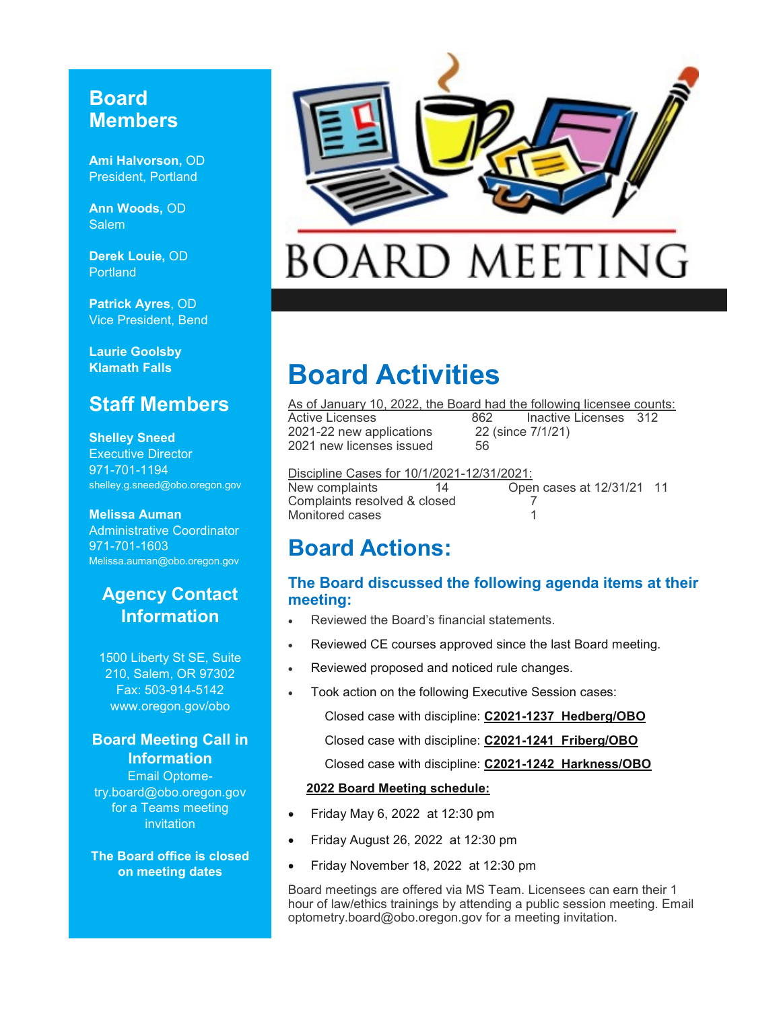#### **Board Members**

**Ami Halvorson,** OD President, Portland

**Ann Woods,** OD **Salem** 

**Derek Louie,** OD **Portland** 

**Patrick Ayres**, OD Vice President, Bend

**Laurie Goolsby Klamath Falls**

#### **Staff Members**

**Shelley Sneed** Executive Director 971-701-1194 shelley.g.sneed@obo.oregon.gov

**Melissa Auman** Administrative Coordinator 971-701-1603 Melissa.auman@obo.oregon.gov

#### **Agency Contact Information**

1500 Liberty St SE, Suite 210, Salem, OR 97302 Fax: 503-914-5142 www.oregon.gov/obo

#### **Board Meeting Call in Information**

Email Optometry.board@obo.oregon.gov for a Teams meeting invitation

**The Board office is closed on meeting dates**



# **BOARD MEETING**

# **Board Activities**

As of January 10, 2022, the Board had the following licensee counts:<br>Active Licenses 662 lnactive Licenses 312 Inactive Licenses 312 2021-22 new applications 22 (since 7/1/21) 2021 new licenses issued 56

Discipline Cases for 10/1/2021-12/31/2021: New complaints 14 Open cases at 12/31/21 11 Complaints resolved & closed 7 Monitored cases 1

## **Board Actions:**

#### **The Board discussed the following agenda items at their meeting:**

- Reviewed the Board's financial statements.
- Reviewed CE courses approved since the last Board meeting.
- Reviewed proposed and noticed rule changes.
- Took action on the following Executive Session cases:

Closed case with discipline: **C2021-1237 Hedberg/OBO**

Closed case with discipline: **C2021-1241 Friberg/OBO**

Closed case with discipline: **C2021-1242 Harkness/OBO**

#### **2022 Board Meeting schedule:**

- Friday May 6, 2022 at 12:30 pm
- Friday August 26, 2022 at 12:30 pm
- Friday November 18, 2022 at 12:30 pm

Board meetings are offered via MS Team. Licensees can earn their 1 hour of law/ethics trainings by attending a public session meeting. Email optometry.board@obo.oregon.gov for a meeting invitation.